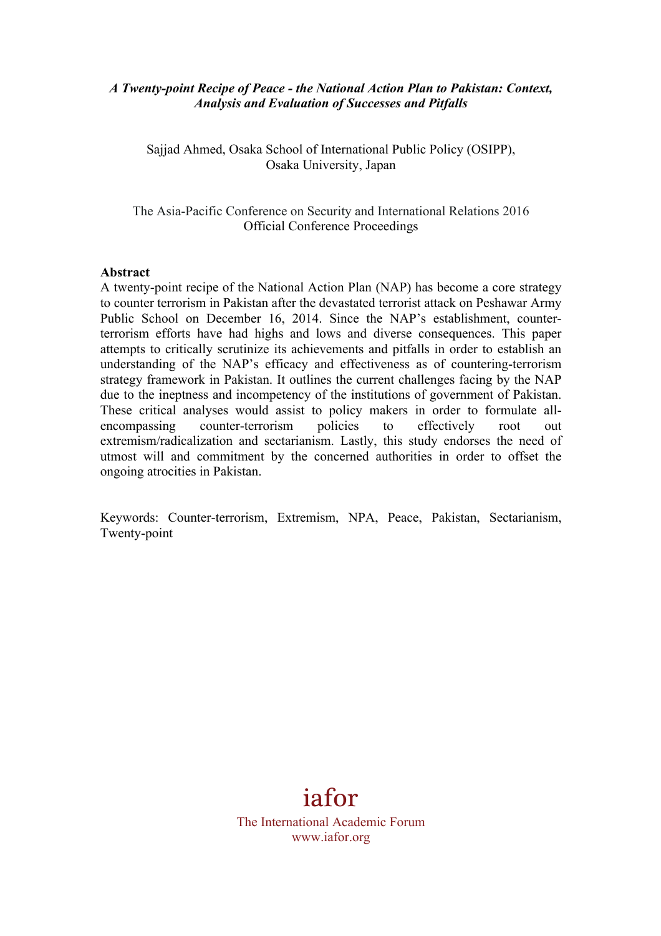#### *A Twenty-point Recipe of Peace - the National Action Plan to Pakistan: Context, Analysis and Evaluation of Successes and Pitfalls*

Sajjad Ahmed, Osaka School of International Public Policy (OSIPP), Osaka University, Japan

The Asia-Pacific Conference on Security and International Relations 2016 Official Conference Proceedings

#### **Abstract**

A twenty-point recipe of the National Action Plan (NAP) has become a core strategy to counter terrorism in Pakistan after the devastated terrorist attack on Peshawar Army Public School on December 16, 2014. Since the NAP's establishment, counterterrorism efforts have had highs and lows and diverse consequences. This paper attempts to critically scrutinize its achievements and pitfalls in order to establish an understanding of the NAP's efficacy and effectiveness as of countering-terrorism strategy framework in Pakistan. It outlines the current challenges facing by the NAP due to the ineptness and incompetency of the institutions of government of Pakistan. These critical analyses would assist to policy makers in order to formulate allencompassing counter-terrorism policies to effectively root out extremism/radicalization and sectarianism. Lastly, this study endorses the need of utmost will and commitment by the concerned authorities in order to offset the ongoing atrocities in Pakistan.

Keywords: Counter-terrorism, Extremism, NPA, Peace, Pakistan, Sectarianism, Twenty-point

# iafor

The International Academic Forum www.iafor.org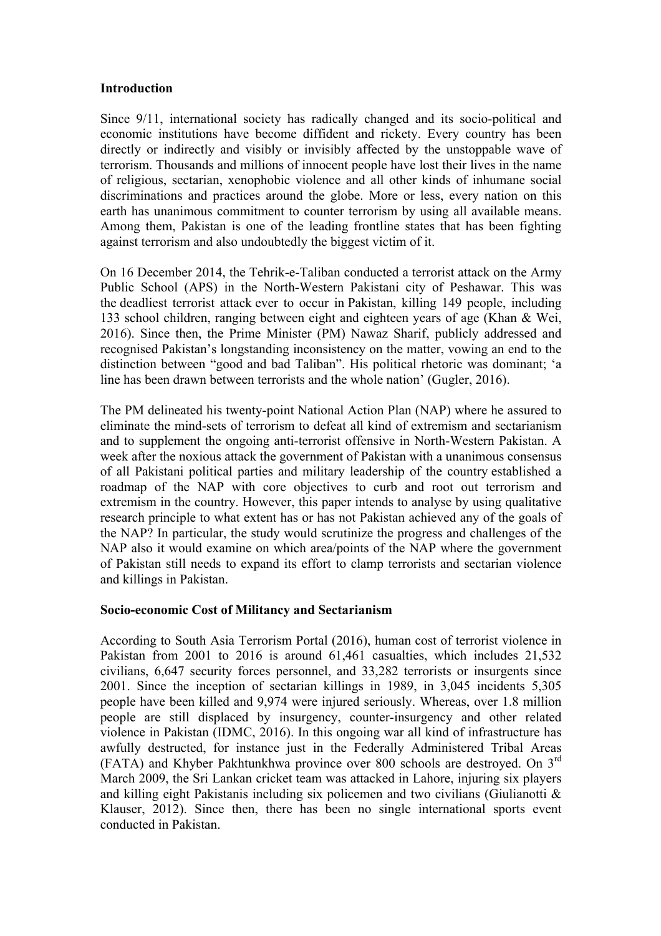#### **Introduction**

Since 9/11, international society has radically changed and its socio-political and economic institutions have become diffident and rickety. Every country has been directly or indirectly and visibly or invisibly affected by the unstoppable wave of terrorism. Thousands and millions of innocent people have lost their lives in the name of religious, sectarian, xenophobic violence and all other kinds of inhumane social discriminations and practices around the globe. More or less, every nation on this earth has unanimous commitment to counter terrorism by using all available means. Among them, Pakistan is one of the leading frontline states that has been fighting against terrorism and also undoubtedly the biggest victim of it.

On 16 December 2014, the Tehrik-e-Taliban conducted a terrorist attack on the Army Public School (APS) in the North-Western Pakistani city of Peshawar. This was the deadliest terrorist attack ever to occur in Pakistan, killing 149 people, including 133 school children, ranging between eight and eighteen years of age (Khan & Wei, 2016). Since then, the Prime Minister (PM) Nawaz Sharif, publicly addressed and recognised Pakistan's longstanding inconsistency on the matter, vowing an end to the distinction between "good and bad Taliban". His political rhetoric was dominant; 'a line has been drawn between terrorists and the whole nation' (Gugler, 2016).

The PM delineated his twenty-point National Action Plan (NAP) where he assured to eliminate the mind-sets of terrorism to defeat all kind of extremism and sectarianism and to supplement the ongoing anti-terrorist offensive in North-Western Pakistan. A week after the noxious attack the government of Pakistan with a unanimous consensus of all Pakistani political parties and military leadership of the country established a roadmap of the NAP with core objectives to curb and root out terrorism and extremism in the country. However, this paper intends to analyse by using qualitative research principle to what extent has or has not Pakistan achieved any of the goals of the NAP? In particular, the study would scrutinize the progress and challenges of the NAP also it would examine on which area/points of the NAP where the government of Pakistan still needs to expand its effort to clamp terrorists and sectarian violence and killings in Pakistan.

# **Socio-economic Cost of Militancy and Sectarianism**

According to South Asia Terrorism Portal (2016), human cost of terrorist violence in Pakistan from 2001 to 2016 is around 61,461 casualties, which includes 21,532 civilians, 6,647 security forces personnel, and 33,282 terrorists or insurgents since 2001. Since the inception of sectarian killings in 1989, in 3,045 incidents 5,305 people have been killed and 9,974 were injured seriously. Whereas, over 1.8 million people are still displaced by insurgency, counter-insurgency and other related violence in Pakistan (IDMC, 2016). In this ongoing war all kind of infrastructure has awfully destructed, for instance just in the Federally Administered Tribal Areas (FATA) and Khyber Pakhtunkhwa province over 800 schools are destroyed. On 3rd March 2009, the Sri Lankan cricket team was attacked in Lahore, injuring six players and killing eight Pakistanis including six policemen and two civilians (Giulianotti & Klauser, 2012). Since then, there has been no single international sports event conducted in Pakistan.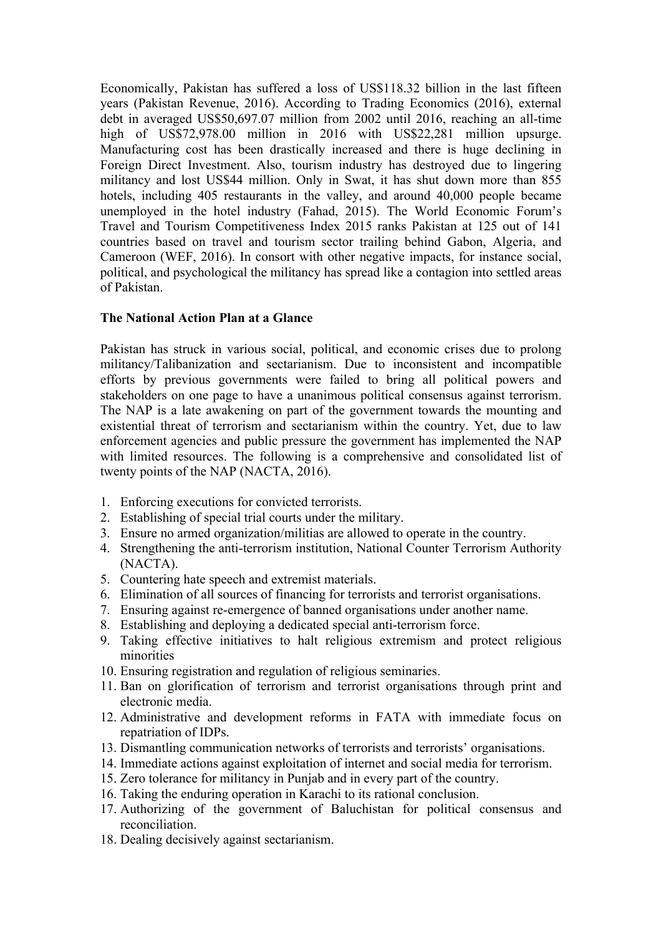Economically, Pakistan has suffered a loss of US\$118.32 billion in the last fifteen years (Pakistan Revenue, 2016). According to Trading Economics (2016), external debt in averaged US\$50,697.07 million from 2002 until 2016, reaching an all-time high of US\$72,978.00 million in 2016 with US\$22,281 million upsurge. Manufacturing cost has been drastically increased and there is huge declining in Foreign Direct Investment. Also, tourism industry has destroyed due to lingering militancy and lost US\$44 million. Only in Swat, it has shut down more than 855 hotels, including 405 restaurants in the valley, and around 40,000 people became unemployed in the hotel industry (Fahad, 2015). The World Economic Forum's Travel and Tourism Competitiveness Index 2015 ranks Pakistan at 125 out of 141 countries based on travel and tourism sector trailing behind Gabon, Algeria, and Cameroon (WEF, 2016). In consort with other negative impacts, for instance social, political, and psychological the militancy has spread like a contagion into settled areas of Pakistan.

### **The National Action Plan at a Glance**

Pakistan has struck in various social, political, and economic crises due to prolong militancy/Talibanization and sectarianism. Due to inconsistent and incompatible efforts by previous governments were failed to bring all political powers and stakeholders on one page to have a unanimous political consensus against terrorism. The NAP is a late awakening on part of the government towards the mounting and existential threat of terrorism and sectarianism within the country. Yet, due to law enforcement agencies and public pressure the government has implemented the NAP with limited resources. The following is a comprehensive and consolidated list of twenty points of the NAP (NACTA, 2016).

- 1. Enforcing executions for convicted terrorists.
- 2. Establishing of special trial courts under the military.
- 3. Ensure no armed organization/militias are allowed to operate in the country.
- 4. Strengthening the anti-terrorism institution, National Counter Terrorism Authority (NACTA).
- 5. Countering hate speech and extremist materials.
- 6. Elimination of all sources of financing for terrorists and terrorist organisations.
- 7. Ensuring against re-emergence of banned organisations under another name.
- 8. Establishing and deploying a dedicated special anti-terrorism force.
- 9. Taking effective initiatives to halt religious extremism and protect religious minorities
- 10. Ensuring registration and regulation of religious seminaries.
- 11. Ban on glorification of terrorism and terrorist organisations through print and electronic media.
- 12. Administrative and development reforms in FATA with immediate focus on repatriation of IDPs.
- 13. Dismantling communication networks of terrorists and terrorists' organisations.
- 14. Immediate actions against exploitation of internet and social media for terrorism.
- 15. Zero tolerance for militancy in Punjab and in every part of the country.
- 16. Taking the enduring operation in Karachi to its rational conclusion.
- 17. Authorizing of the government of Baluchistan for political consensus and reconciliation.
- 18. Dealing decisively against sectarianism.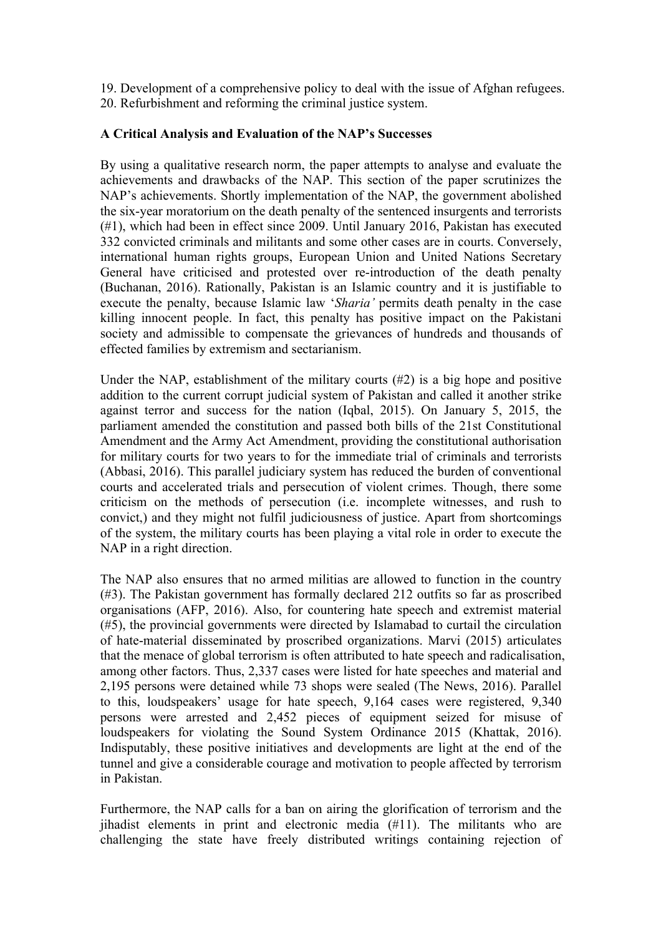19. Development of a comprehensive policy to deal with the issue of Afghan refugees. 20. Refurbishment and reforming the criminal justice system.

### **A Critical Analysis and Evaluation of the NAP's Successes**

By using a qualitative research norm, the paper attempts to analyse and evaluate the achievements and drawbacks of the NAP. This section of the paper scrutinizes the NAP's achievements. Shortly implementation of the NAP, the government abolished the six-year moratorium on the death penalty of the sentenced insurgents and terrorists (#1), which had been in effect since 2009. Until January 2016, Pakistan has executed 332 convicted criminals and militants and some other cases are in courts. Conversely, international human rights groups, European Union and United Nations Secretary General have criticised and protested over re-introduction of the death penalty (Buchanan, 2016). Rationally, Pakistan is an Islamic country and it is justifiable to execute the penalty, because Islamic law '*Sharia'* permits death penalty in the case killing innocent people. In fact, this penalty has positive impact on the Pakistani society and admissible to compensate the grievances of hundreds and thousands of effected families by extremism and sectarianism.

Under the NAP, establishment of the military courts (#2) is a big hope and positive addition to the current corrupt judicial system of Pakistan and called it another strike against terror and success for the nation (Iqbal, 2015). On January 5, 2015, the parliament amended the constitution and passed both bills of the 21st Constitutional Amendment and the Army Act Amendment, providing the constitutional authorisation for military courts for two years to for the immediate trial of criminals and terrorists (Abbasi, 2016). This parallel judiciary system has reduced the burden of conventional courts and accelerated trials and persecution of violent crimes. Though, there some criticism on the methods of persecution (i.e. incomplete witnesses, and rush to convict,) and they might not fulfil judiciousness of justice. Apart from shortcomings of the system, the military courts has been playing a vital role in order to execute the NAP in a right direction.

The NAP also ensures that no armed militias are allowed to function in the country (#3). The Pakistan government has formally declared 212 outfits so far as proscribed organisations (AFP, 2016). Also, for countering hate speech and extremist material (#5), the provincial governments were directed by Islamabad to curtail the circulation of hate-material disseminated by proscribed organizations. Marvi (2015) articulates that the menace of global terrorism is often attributed to hate speech and radicalisation, among other factors. Thus, 2,337 cases were listed for hate speeches and material and 2,195 persons were detained while 73 shops were sealed (The News, 2016). Parallel to this, loudspeakers' usage for hate speech, 9,164 cases were registered, 9,340 persons were arrested and 2,452 pieces of equipment seized for misuse of loudspeakers for violating the Sound System Ordinance 2015 (Khattak, 2016). Indisputably, these positive initiatives and developments are light at the end of the tunnel and give a considerable courage and motivation to people affected by terrorism in Pakistan.

Furthermore, the NAP calls for a ban on airing the glorification of terrorism and the jihadist elements in print and electronic media (#11). The militants who are challenging the state have freely distributed writings containing rejection of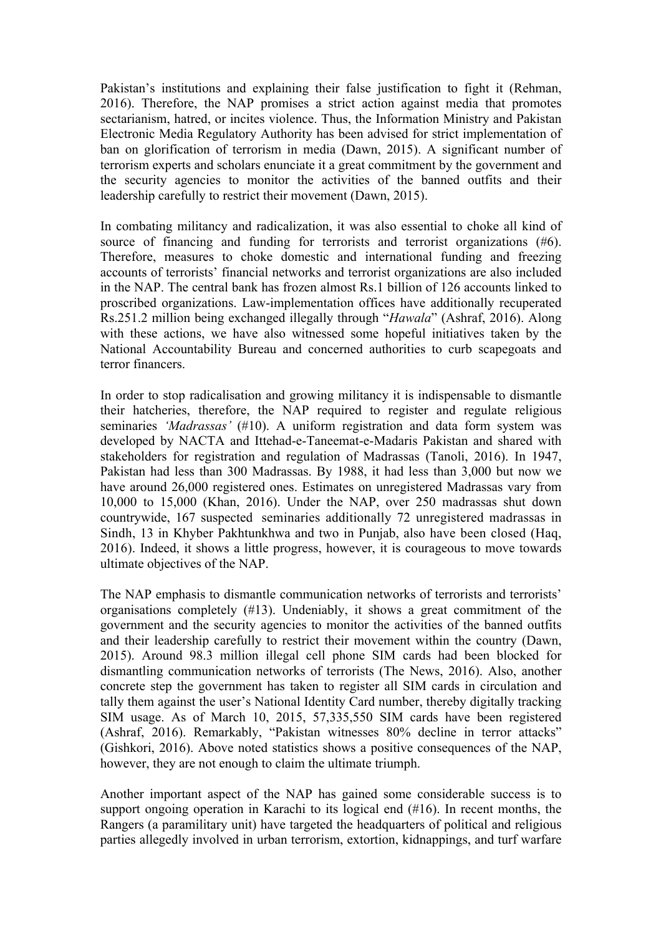Pakistan's institutions and explaining their false justification to fight it (Rehman, 2016). Therefore, the NAP promises a strict action against media that promotes sectarianism, hatred, or incites violence. Thus, the Information Ministry and Pakistan Electronic Media Regulatory Authority has been advised for strict implementation of ban on glorification of terrorism in media (Dawn, 2015). A significant number of terrorism experts and scholars enunciate it a great commitment by the government and the security agencies to monitor the activities of the banned outfits and their leadership carefully to restrict their movement (Dawn, 2015).

In combating militancy and radicalization, it was also essential to choke all kind of source of financing and funding for terrorists and terrorist organizations (#6). Therefore, measures to choke domestic and international funding and freezing accounts of terrorists' financial networks and terrorist organizations are also included in the NAP. The central bank has frozen almost Rs.1 billion of 126 accounts linked to proscribed organizations. Law-implementation offices have additionally recuperated Rs.251.2 million being exchanged illegally through "*Hawala*" (Ashraf, 2016). Along with these actions, we have also witnessed some hopeful initiatives taken by the National Accountability Bureau and concerned authorities to curb scapegoats and terror financers.

In order to stop radicalisation and growing militancy it is indispensable to dismantle their hatcheries, therefore, the NAP required to register and regulate religious seminaries *'Madrassas'* (#10). A uniform registration and data form system was developed by NACTA and Ittehad-e-Taneemat-e-Madaris Pakistan and shared with stakeholders for registration and regulation of Madrassas (Tanoli, 2016). In 1947, Pakistan had less than 300 Madrassas. By 1988, it had less than 3,000 but now we have around 26,000 registered ones. Estimates on unregistered Madrassas vary from 10,000 to 15,000 (Khan, 2016). Under the NAP, over 250 madrassas shut down countrywide, 167 suspected seminaries additionally 72 unregistered madrassas in Sindh, 13 in Khyber Pakhtunkhwa and two in Punjab, also have been closed (Haq, 2016). Indeed, it shows a little progress, however, it is courageous to move towards ultimate objectives of the NAP.

The NAP emphasis to dismantle communication networks of terrorists and terrorists' organisations completely (#13). Undeniably, it shows a great commitment of the government and the security agencies to monitor the activities of the banned outfits and their leadership carefully to restrict their movement within the country (Dawn, 2015). Around 98.3 million illegal cell phone SIM cards had been blocked for dismantling communication networks of terrorists (The News, 2016). Also, another concrete step the government has taken to register all SIM cards in circulation and tally them against the user's National Identity Card number, thereby digitally tracking SIM usage. As of March 10, 2015, 57,335,550 SIM cards have been registered (Ashraf, 2016). Remarkably, "Pakistan witnesses 80% decline in terror attacks" (Gishkori, 2016). Above noted statistics shows a positive consequences of the NAP, however, they are not enough to claim the ultimate triumph.

Another important aspect of the NAP has gained some considerable success is to support ongoing operation in Karachi to its logical end (#16). In recent months, the Rangers (a paramilitary unit) have targeted the headquarters of political and religious parties allegedly involved in urban terrorism, extortion, kidnappings, and turf warfare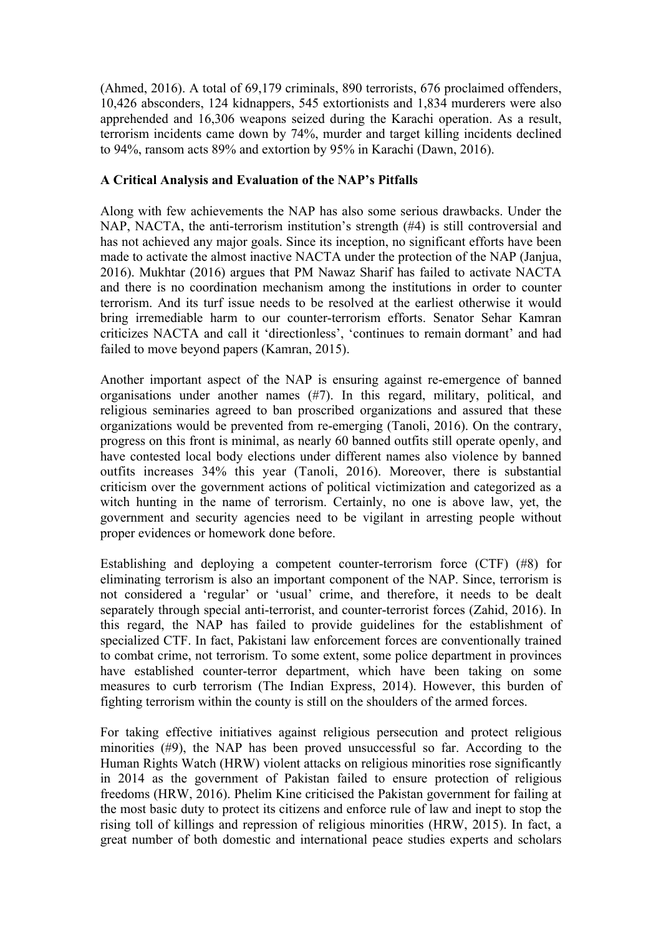(Ahmed, 2016). A total of 69,179 criminals, 890 terrorists, 676 proclaimed offenders, 10,426 absconders, 124 kidnappers, 545 extortionists and 1,834 murderers were also apprehended and 16,306 weapons seized during the Karachi operation. As a result, terrorism incidents came down by 74%, murder and target killing incidents declined to 94%, ransom acts 89% and extortion by 95% in Karachi (Dawn, 2016).

## **A Critical Analysis and Evaluation of the NAP's Pitfalls**

Along with few achievements the NAP has also some serious drawbacks. Under the NAP, NACTA, the anti-terrorism institution's strength (#4) is still controversial and has not achieved any major goals. Since its inception, no significant efforts have been made to activate the almost inactive NACTA under the protection of the NAP (Janjua, 2016). Mukhtar (2016) argues that PM Nawaz Sharif has failed to activate NACTA and there is no coordination mechanism among the institutions in order to counter terrorism. And its turf issue needs to be resolved at the earliest otherwise it would bring irremediable harm to our counter-terrorism efforts. Senator Sehar Kamran criticizes NACTA and call it 'directionless', 'continues to remain dormant' and had failed to move beyond papers (Kamran, 2015).

Another important aspect of the NAP is ensuring against re-emergence of banned organisations under another names (#7). In this regard, military, political, and religious seminaries agreed to ban proscribed organizations and assured that these organizations would be prevented from re-emerging (Tanoli, 2016). On the contrary, progress on this front is minimal, as nearly 60 banned outfits still operate openly, and have contested local body elections under different names also violence by banned outfits increases 34% this year (Tanoli, 2016). Moreover, there is substantial criticism over the government actions of political victimization and categorized as a witch hunting in the name of terrorism. Certainly, no one is above law, yet, the government and security agencies need to be vigilant in arresting people without proper evidences or homework done before.

Establishing and deploying a competent counter-terrorism force (CTF) (#8) for eliminating terrorism is also an important component of the NAP. Since, terrorism is not considered a 'regular' or 'usual' crime, and therefore, it needs to be dealt separately through special anti-terrorist, and counter-terrorist forces (Zahid, 2016). In this regard, the NAP has failed to provide guidelines for the establishment of specialized CTF. In fact, Pakistani law enforcement forces are conventionally trained to combat crime, not terrorism. To some extent, some police department in provinces have established counter-terror department, which have been taking on some measures to curb terrorism (The Indian Express, 2014). However, this burden of fighting terrorism within the county is still on the shoulders of the armed forces.

For taking effective initiatives against religious persecution and protect religious minorities (#9), the NAP has been proved unsuccessful so far. According to the Human Rights Watch (HRW) violent attacks on religious minorities rose significantly in 2014 as the government of Pakistan failed to ensure protection of religious freedoms (HRW, 2016). Phelim Kine criticised the Pakistan government for failing at the most basic duty to protect its citizens and enforce rule of law and inept to stop the rising toll of killings and repression of religious minorities (HRW, 2015). In fact, a great number of both domestic and international peace studies experts and scholars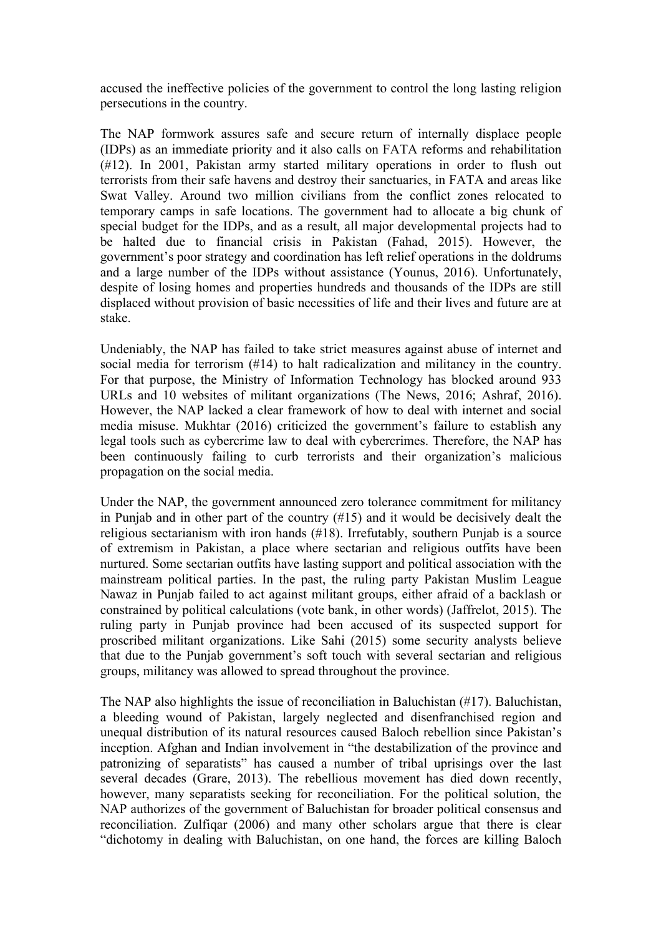accused the ineffective policies of the government to control the long lasting religion persecutions in the country.

The NAP formwork assures safe and secure return of internally displace people (IDPs) as an immediate priority and it also calls on FATA reforms and rehabilitation (#12). In 2001, Pakistan army started military operations in order to flush out terrorists from their safe havens and destroy their sanctuaries, in FATA and areas like Swat Valley. Around two million civilians from the conflict zones relocated to temporary camps in safe locations. The government had to allocate a big chunk of special budget for the IDPs, and as a result, all major developmental projects had to be halted due to financial crisis in Pakistan (Fahad, 2015). However, the government's poor strategy and coordination has left relief operations in the doldrums and a large number of the IDPs without assistance (Younus, 2016). Unfortunately, despite of losing homes and properties hundreds and thousands of the IDPs are still displaced without provision of basic necessities of life and their lives and future are at stake.

Undeniably, the NAP has failed to take strict measures against abuse of internet and social media for terrorism (#14) to halt radicalization and militancy in the country. For that purpose, the Ministry of Information Technology has blocked around 933 URLs and 10 websites of militant organizations (The News, 2016; Ashraf, 2016). However, the NAP lacked a clear framework of how to deal with internet and social media misuse. Mukhtar (2016) criticized the government's failure to establish any legal tools such as cybercrime law to deal with cybercrimes. Therefore, the NAP has been continuously failing to curb terrorists and their organization's malicious propagation on the social media.

Under the NAP, the government announced zero tolerance commitment for militancy in Punjab and in other part of the country (#15) and it would be decisively dealt the religious sectarianism with iron hands (#18). Irrefutably, southern Punjab is a source of extremism in Pakistan, a place where sectarian and religious outfits have been nurtured. Some sectarian outfits have lasting support and political association with the mainstream political parties. In the past, the ruling party Pakistan Muslim League Nawaz in Punjab failed to act against militant groups, either afraid of a backlash or constrained by political calculations (vote bank, in other words) (Jaffrelot, 2015). The ruling party in Punjab province had been accused of its suspected support for proscribed militant organizations. Like Sahi (2015) some security analysts believe that due to the Punjab government's soft touch with several sectarian and religious groups, militancy was allowed to spread throughout the province.

The NAP also highlights the issue of reconciliation in Baluchistan (#17). Baluchistan, a bleeding wound of Pakistan, largely neglected and disenfranchised region and unequal distribution of its natural resources caused Baloch rebellion since Pakistan's inception. Afghan and Indian involvement in "the destabilization of the province and patronizing of separatists" has caused a number of tribal uprisings over the last several decades (Grare, 2013). The rebellious movement has died down recently, however, many separatists seeking for reconciliation. For the political solution, the NAP authorizes of the government of Baluchistan for broader political consensus and reconciliation. Zulfiqar (2006) and many other scholars argue that there is clear "dichotomy in dealing with Baluchistan, on one hand, the forces are killing Baloch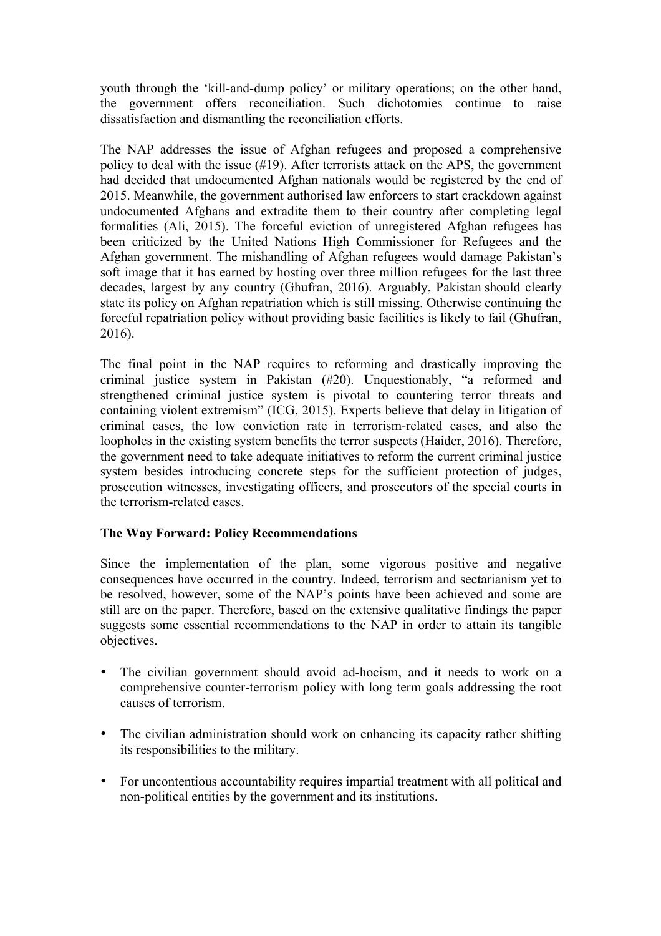youth through the 'kill-and-dump policy' or military operations; on the other hand, the government offers reconciliation. Such dichotomies continue to raise dissatisfaction and dismantling the reconciliation efforts.

The NAP addresses the issue of Afghan refugees and proposed a comprehensive policy to deal with the issue (#19). After terrorists attack on the APS, the government had decided that undocumented Afghan nationals would be registered by the end of 2015. Meanwhile, the government authorised law enforcers to start crackdown against undocumented Afghans and extradite them to their country after completing legal formalities (Ali, 2015). The forceful eviction of unregistered Afghan refugees has been criticized by the United Nations High Commissioner for Refugees and the Afghan government. The mishandling of Afghan refugees would damage Pakistan's soft image that it has earned by hosting over three million refugees for the last three decades, largest by any country (Ghufran, 2016). Arguably, Pakistan should clearly state its policy on Afghan repatriation which is still missing. Otherwise continuing the forceful repatriation policy without providing basic facilities is likely to fail (Ghufran, 2016).

The final point in the NAP requires to reforming and drastically improving the criminal justice system in Pakistan (#20). Unquestionably, "a reformed and strengthened criminal justice system is pivotal to countering terror threats and containing violent extremism" (ICG, 2015). Experts believe that delay in litigation of criminal cases, the low conviction rate in terrorism-related cases, and also the loopholes in the existing system benefits the terror suspects (Haider, 2016). Therefore, the government need to take adequate initiatives to reform the current criminal justice system besides introducing concrete steps for the sufficient protection of judges, prosecution witnesses, investigating officers, and prosecutors of the special courts in the terrorism-related cases.

# **The Way Forward: Policy Recommendations**

Since the implementation of the plan, some vigorous positive and negative consequences have occurred in the country. Indeed, terrorism and sectarianism yet to be resolved, however, some of the NAP's points have been achieved and some are still are on the paper. Therefore, based on the extensive qualitative findings the paper suggests some essential recommendations to the NAP in order to attain its tangible objectives.

- The civilian government should avoid ad-hocism, and it needs to work on a comprehensive counter-terrorism policy with long term goals addressing the root causes of terrorism.
- The civilian administration should work on enhancing its capacity rather shifting its responsibilities to the military.
- For uncontentious accountability requires impartial treatment with all political and non-political entities by the government and its institutions.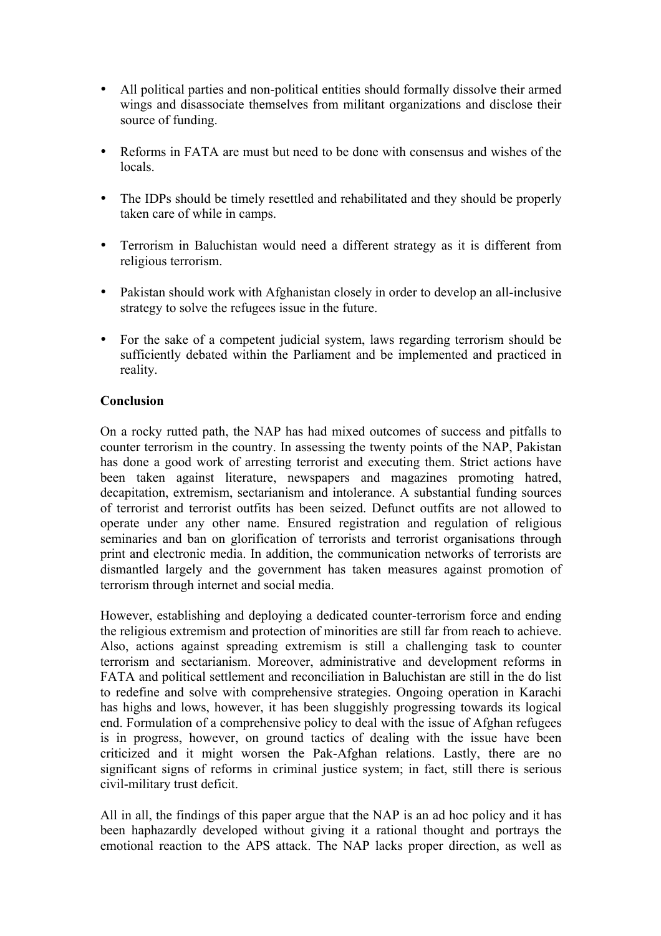- All political parties and non-political entities should formally dissolve their armed wings and disassociate themselves from militant organizations and disclose their source of funding.
- Reforms in FATA are must but need to be done with consensus and wishes of the locals.
- The IDPs should be timely resettled and rehabilitated and they should be properly taken care of while in camps.
- Terrorism in Baluchistan would need a different strategy as it is different from religious terrorism.
- Pakistan should work with Afghanistan closely in order to develop an all-inclusive strategy to solve the refugees issue in the future.
- For the sake of a competent judicial system, laws regarding terrorism should be sufficiently debated within the Parliament and be implemented and practiced in reality.

# **Conclusion**

On a rocky rutted path, the NAP has had mixed outcomes of success and pitfalls to counter terrorism in the country. In assessing the twenty points of the NAP, Pakistan has done a good work of arresting terrorist and executing them. Strict actions have been taken against literature, newspapers and magazines promoting hatred, decapitation, extremism, sectarianism and intolerance. A substantial funding sources of terrorist and terrorist outfits has been seized. Defunct outfits are not allowed to operate under any other name. Ensured registration and regulation of religious seminaries and ban on glorification of terrorists and terrorist organisations through print and electronic media. In addition, the communication networks of terrorists are dismantled largely and the government has taken measures against promotion of terrorism through internet and social media.

However, establishing and deploying a dedicated counter-terrorism force and ending the religious extremism and protection of minorities are still far from reach to achieve. Also, actions against spreading extremism is still a challenging task to counter terrorism and sectarianism. Moreover, administrative and development reforms in FATA and political settlement and reconciliation in Baluchistan are still in the do list to redefine and solve with comprehensive strategies. Ongoing operation in Karachi has highs and lows, however, it has been sluggishly progressing towards its logical end. Formulation of a comprehensive policy to deal with the issue of Afghan refugees is in progress, however, on ground tactics of dealing with the issue have been criticized and it might worsen the Pak-Afghan relations. Lastly, there are no significant signs of reforms in criminal justice system; in fact, still there is serious civil-military trust deficit.

All in all, the findings of this paper argue that the NAP is an ad hoc policy and it has been haphazardly developed without giving it a rational thought and portrays the emotional reaction to the APS attack. The NAP lacks proper direction, as well as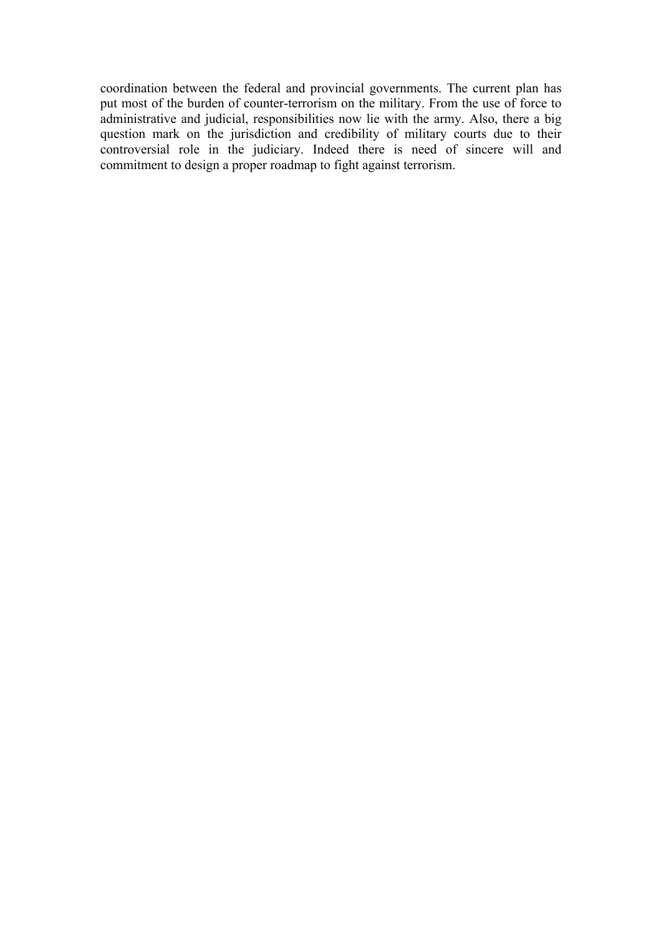coordination between the federal and provincial governments. The current plan has put most of the burden of counter-terrorism on the military. From the use of force to administrative and judicial, responsibilities now lie with the army. Also, there a big question mark on the jurisdiction and credibility of military courts due to their controversial role in the judiciary. Indeed there is need of sincere will and commitment to design a proper roadmap to fight against terrorism.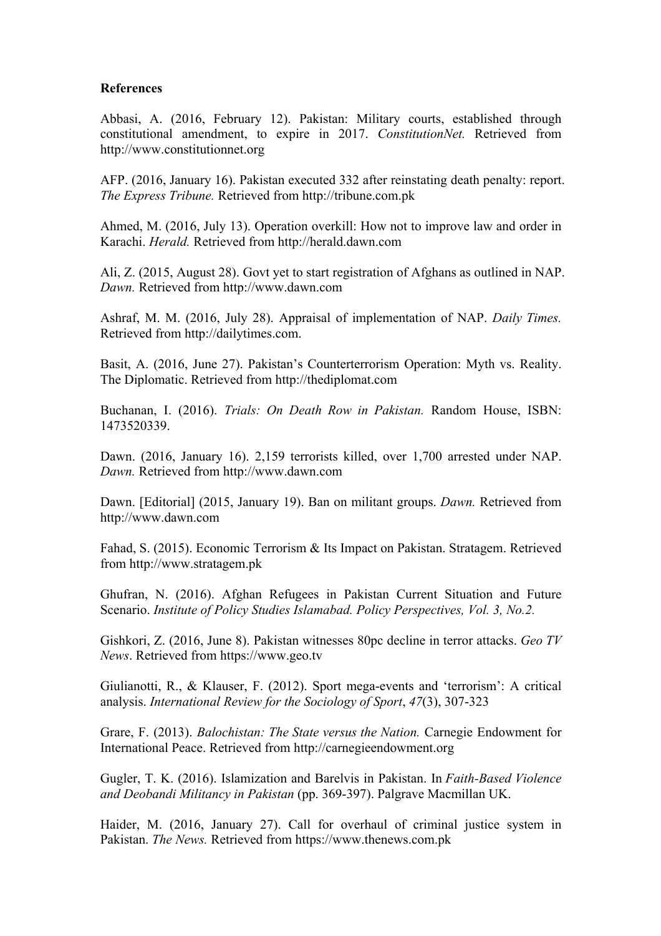#### **References**

Abbasi, A. (2016, February 12). Pakistan: Military courts, established through constitutional amendment, to expire in 2017. *ConstitutionNet.* Retrieved from http://www.constitutionnet.org

AFP. (2016, January 16). Pakistan executed 332 after reinstating death penalty: report. *The Express Tribune.* Retrieved from http://tribune.com.pk

Ahmed, M. (2016, July 13). Operation overkill: How not to improve law and order in Karachi. *Herald.* Retrieved from http://herald.dawn.com

Ali, Z. (2015, August 28). Govt yet to start registration of Afghans as outlined in NAP. *Dawn.* Retrieved from http://www.dawn.com

Ashraf, M. M. (2016, July 28). Appraisal of implementation of NAP. *Daily Times.* Retrieved from http://dailytimes.com.

Basit, A. (2016, June 27). Pakistan's Counterterrorism Operation: Myth vs. Reality. The Diplomatic. Retrieved from http://thediplomat.com

Buchanan, I. (2016). *Trials: On Death Row in Pakistan.* Random House, ISBN: 1473520339.

Dawn. (2016, January 16). 2,159 terrorists killed, over 1,700 arrested under NAP. *Dawn.* Retrieved from http://www.dawn.com

Dawn. [Editorial] (2015, January 19). Ban on militant groups. *Dawn.* Retrieved from http://www.dawn.com

Fahad, S. (2015). Economic Terrorism & Its Impact on Pakistan. Stratagem. Retrieved from http://www.stratagem.pk

Ghufran, N. (2016). Afghan Refugees in Pakistan Current Situation and Future Scenario. *Institute of Policy Studies Islamabad. Policy Perspectives, Vol. 3, No.2.*

Gishkori, Z. (2016, June 8). Pakistan witnesses 80pc decline in terror attacks. *Geo TV News*. Retrieved from https://www.geo.tv

Giulianotti, R., & Klauser, F. (2012). Sport mega-events and 'terrorism': A critical analysis. *International Review for the Sociology of Sport*, *47*(3), 307-323

Grare, F. (2013). *Balochistan: The State versus the Nation.* Carnegie Endowment for International Peace. Retrieved from http://carnegieendowment.org

Gugler, T. K. (2016). Islamization and Barelvis in Pakistan. In *Faith-Based Violence and Deobandi Militancy in Pakistan* (pp. 369-397). Palgrave Macmillan UK.

Haider, M. (2016, January 27). Call for overhaul of criminal justice system in Pakistan. *The News.* Retrieved from https://www.thenews.com.pk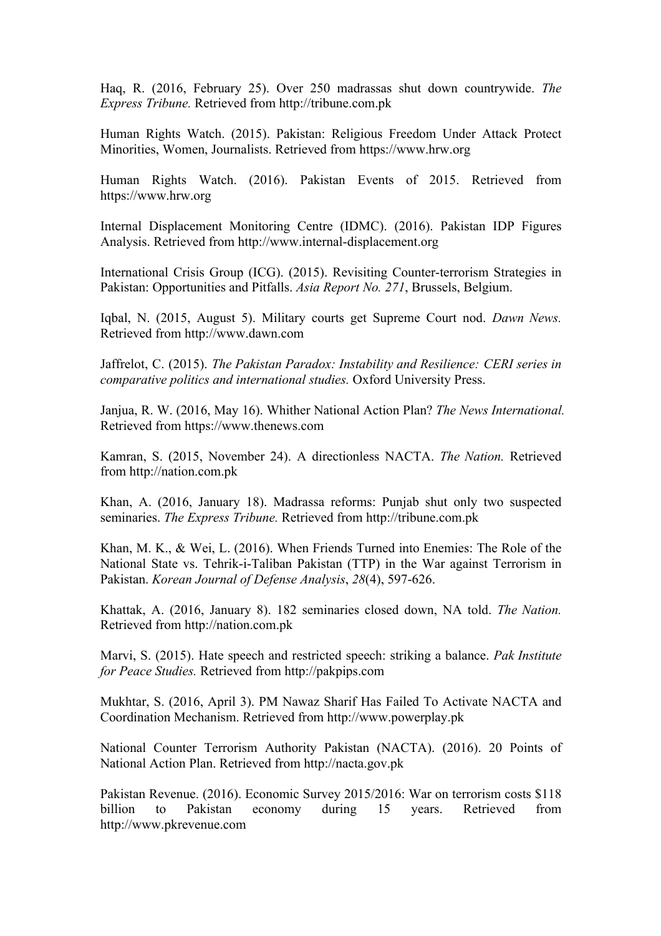Haq, R. (2016, February 25). Over 250 madrassas shut down countrywide. *The Express Tribune.* Retrieved from http://tribune.com.pk

Human Rights Watch. (2015). Pakistan: Religious Freedom Under Attack Protect Minorities, Women, Journalists. Retrieved from https://www.hrw.org

Human Rights Watch. (2016). Pakistan Events of 2015. Retrieved from https://www.hrw.org

Internal Displacement Monitoring Centre (IDMC). (2016). Pakistan IDP Figures Analysis. Retrieved from http://www.internal-displacement.org

International Crisis Group (ICG). (2015). Revisiting Counter-terrorism Strategies in Pakistan: Opportunities and Pitfalls. *Asia Report No. 271*, Brussels, Belgium.

Iqbal, N. (2015, August 5). Military courts get Supreme Court nod. *Dawn News.* Retrieved from http://www.dawn.com

Jaffrelot, C. (2015). *The Pakistan Paradox: Instability and Resilience: CERI series in comparative politics and international studies.* Oxford University Press.

Janjua, R. W. (2016, May 16). Whither National Action Plan? *The News International.* Retrieved from https://www.thenews.com

Kamran, S. (2015, November 24). A directionless NACTA. *The Nation.* Retrieved from http://nation.com.pk

Khan, A. (2016, January 18). Madrassa reforms: Punjab shut only two suspected seminaries. *The Express Tribune.* Retrieved from http://tribune.com.pk

Khan, M. K., & Wei, L. (2016). When Friends Turned into Enemies: The Role of the National State vs. Tehrik-i-Taliban Pakistan (TTP) in the War against Terrorism in Pakistan. *Korean Journal of Defense Analysis*, *28*(4), 597-626.

Khattak, A. (2016, January 8). 182 seminaries closed down, NA told. *The Nation.* Retrieved from http://nation.com.pk

Marvi, S. (2015). Hate speech and restricted speech: striking a balance. *Pak Institute for Peace Studies.* Retrieved from http://pakpips.com

Mukhtar, S. (2016, April 3). PM Nawaz Sharif Has Failed To Activate NACTA and Coordination Mechanism. Retrieved from http://www.powerplay.pk

National Counter Terrorism Authority Pakistan (NACTA). (2016). 20 Points of National Action Plan. Retrieved from http://nacta.gov.pk

Pakistan Revenue. (2016). Economic Survey 2015/2016: War on terrorism costs \$118 billion to Pakistan economy during 15 years. Retrieved from http://www.pkrevenue.com